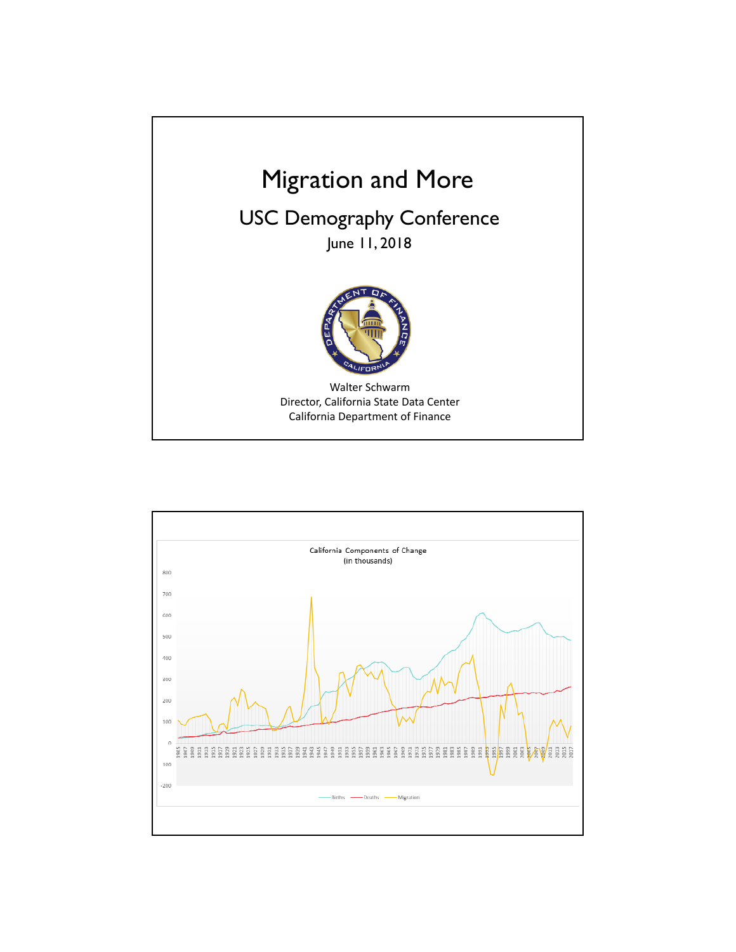

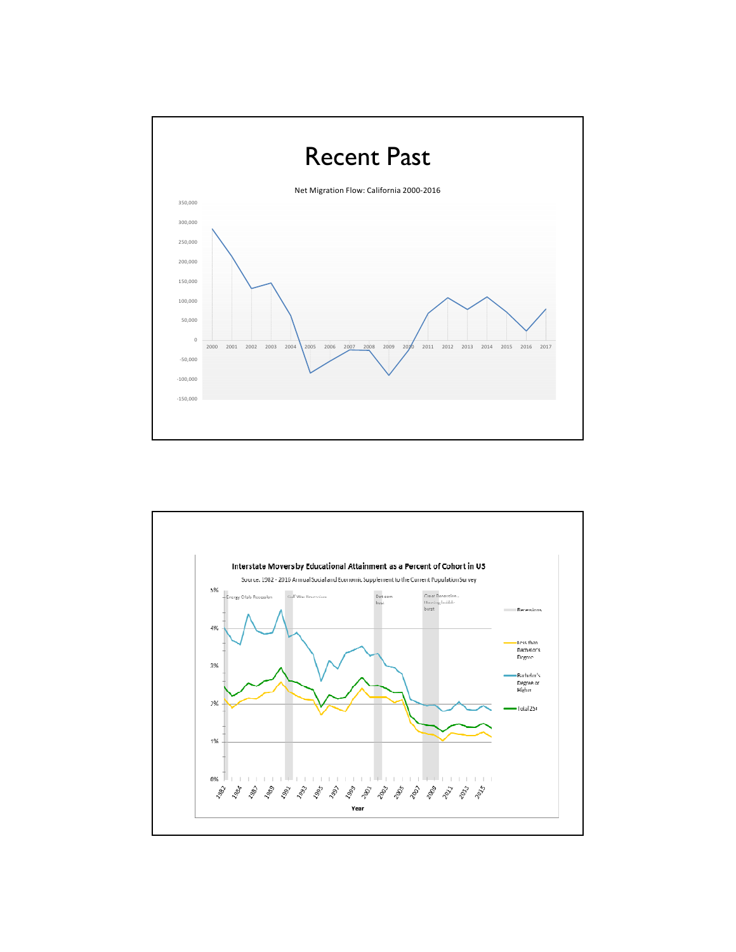

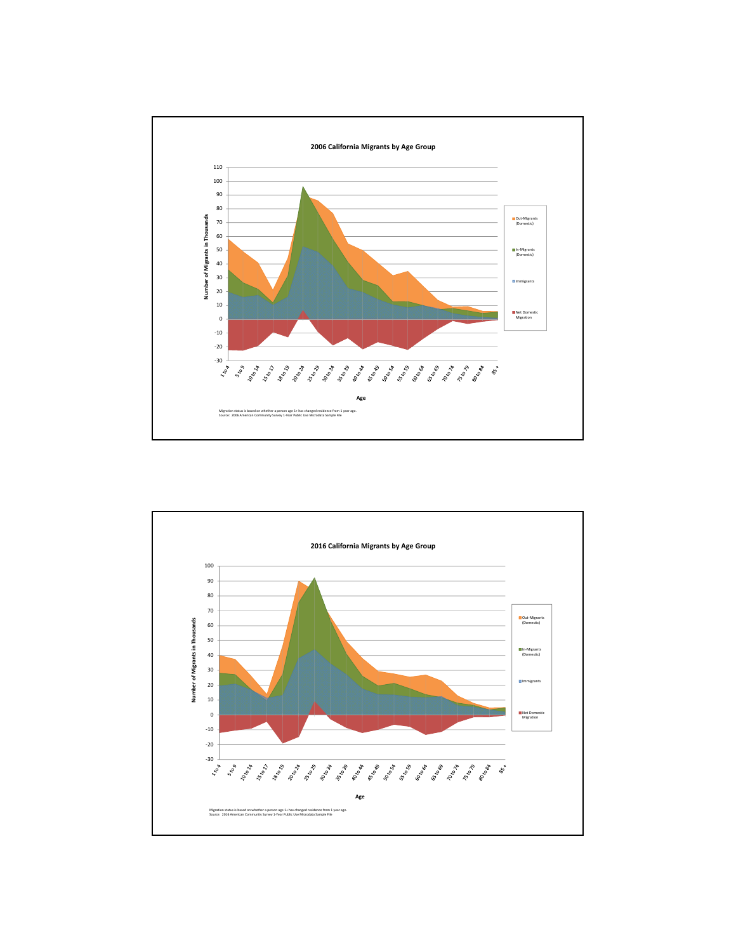

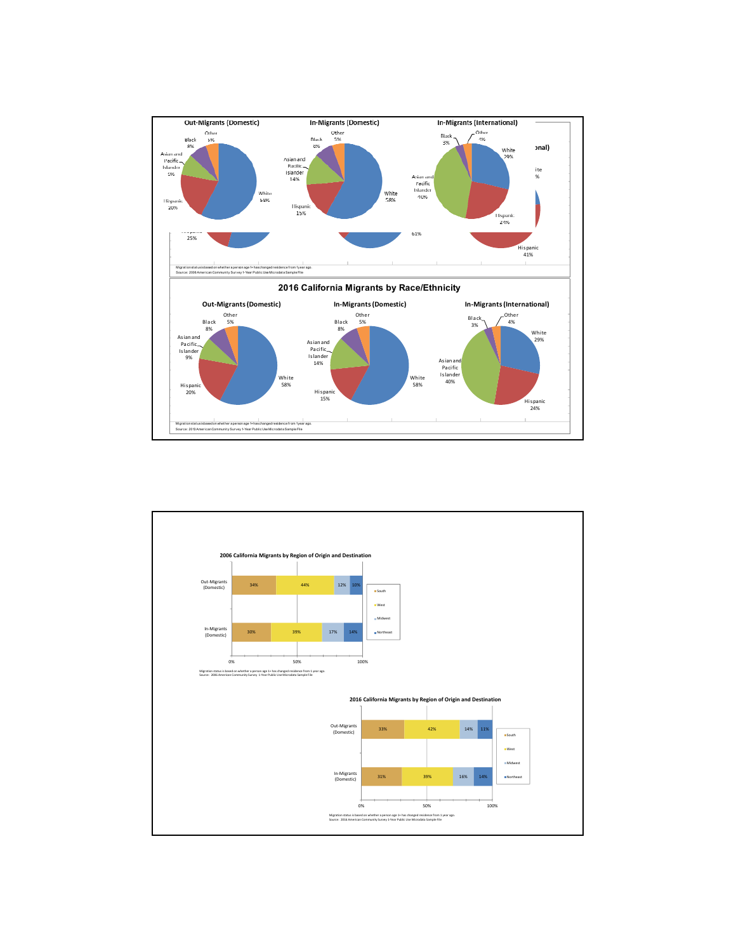

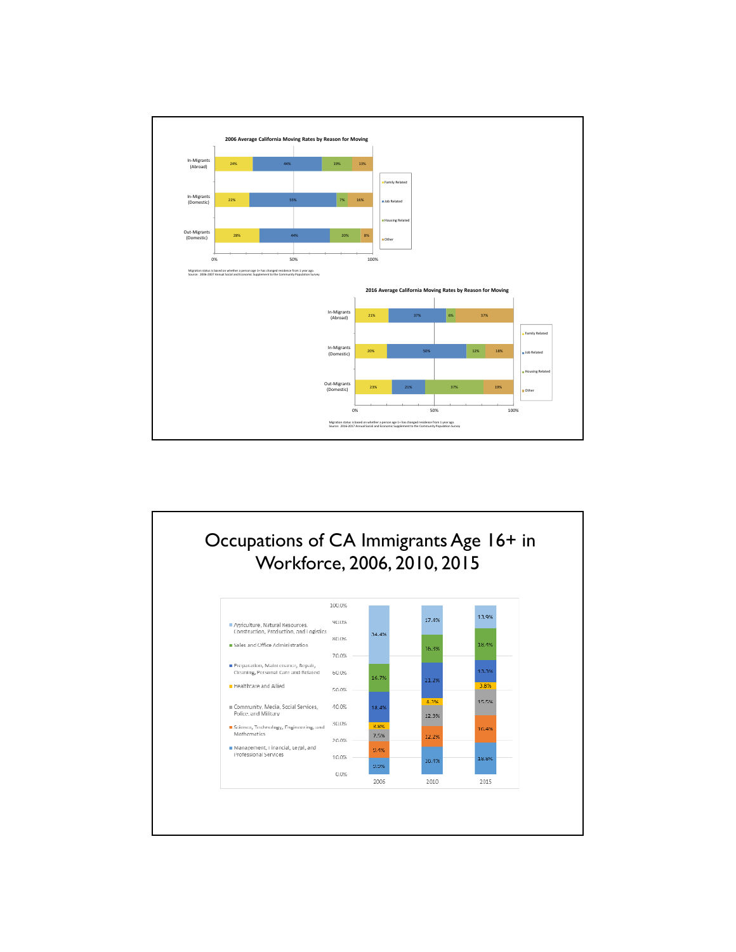

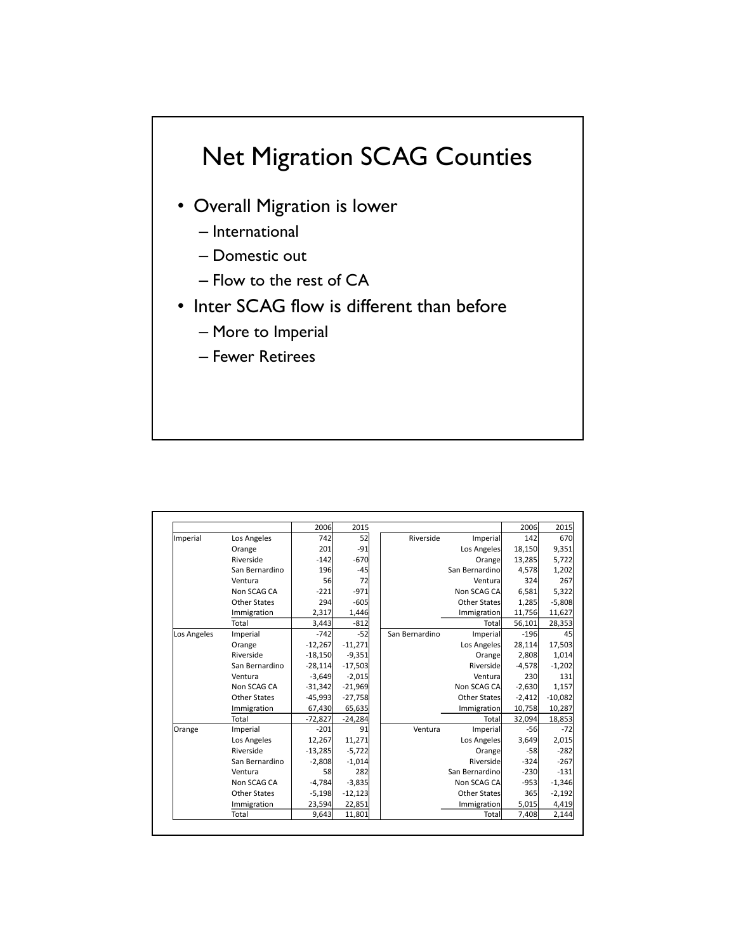## Net Migration SCAG Counties

- Overall Migration is lower
	- International
	- Domestic out
	- Flow to the rest of CA
- Inter SCAG flow is different than before
	- More to Imperial
	- Fewer Retirees

|             |                     | 2006      | 2015      |                |                     | 2006     | 2015       |
|-------------|---------------------|-----------|-----------|----------------|---------------------|----------|------------|
| Imperial    | Los Angeles         | 742       | 52        | Riverside      | Imperial            | 142      | 670        |
|             | Orange              | 201       | $-91$     |                | Los Angeles         | 18,150   | 9,351      |
|             | Riverside           | $-142$    | $-670$    |                | Orange              | 13,285   | 5,722      |
|             | San Bernardino      | 196       | $-45$     |                | San Bernardino      | 4,578    | 1,202      |
|             | Ventura             | 56        | 72        |                | Ventura             | 324      | 267        |
|             | Non SCAG CA         | $-221$    | $-971$    |                | Non SCAG CA         | 6,581    | 5,322      |
|             | Other States        | 294       | $-605$    |                | <b>Other States</b> | 1,285    | $-5,808$   |
|             | Immigration         | 2,317     | 1,446     |                | Immigration         | 11,756   | 11,627     |
|             | Total               | 3,443     | $-812$    |                | Total               | 56,101   | 28,353     |
| Los Angeles | Imperial            | $-742$    | $-52$     | San Bernardino | Imperial            | $-196$   | 45         |
|             | Orange              | $-12,267$ | $-11,271$ |                | Los Angeles         | 28,114   | 17,503     |
|             | Riverside           | $-18,150$ | $-9,351$  |                | Orange              | 2.808    | 1,014      |
|             | San Bernardino      | $-28,114$ | $-17,503$ |                | Riverside           | $-4,578$ | $-1,202$   |
|             | Ventura             | $-3,649$  | $-2,015$  |                | Ventura             | 230      | <b>131</b> |
|             | Non SCAG CA         | $-31,342$ | $-21,969$ |                | Non SCAG CA         | $-2,630$ | 1,157      |
|             | Other States        | $-45,993$ | $-27,758$ |                | <b>Other States</b> | $-2,412$ | $-10,082$  |
|             | Immigration         | 67,430    | 65,635    |                | Immigration         | 10,758   | 10,287     |
|             | Total               | $-72,827$ | $-24,284$ |                | Total               | 32,094   | 18,853     |
| Orange      | Imperial            | $-201$    | 91        | Ventura        | Imperial            | $-56$    | $-72$      |
|             | Los Angeles         | 12,267    | 11,271    |                | Los Angeles         | 3,649    | 2,015      |
|             | Riverside           | $-13,285$ | $-5,722$  |                | Orange              | $-58$    | $-282$     |
|             | San Bernardino      | $-2,808$  | $-1,014$  |                | Riverside           | $-324$   | $-267$     |
|             | Ventura             | 58        | 282       |                | San Bernardino      | $-230$   | $-131$     |
|             | Non SCAG CA         | $-4,784$  | $-3,835$  |                | Non SCAG CA         | $-953$   | $-1,346$   |
|             | <b>Other States</b> | $-5,198$  | $-12,123$ |                | <b>Other States</b> | 365      | $-2,192$   |
|             | Immigration         | 23,594    | 22,851    |                | Immigration         | 5,015    | 4,419      |
|             | Total               | 9,643     | 11,801    |                | Total               | 7,408    | 2,144      |